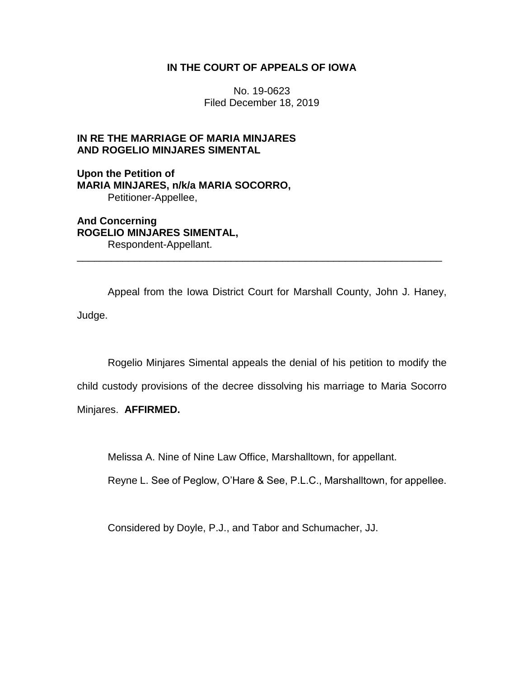## **IN THE COURT OF APPEALS OF IOWA**

No. 19-0623 Filed December 18, 2019

## **IN RE THE MARRIAGE OF MARIA MINJARES AND ROGELIO MINJARES SIMENTAL**

**Upon the Petition of MARIA MINJARES, n/k/a MARIA SOCORRO,** Petitioner-Appellee,

**And Concerning ROGELIO MINJARES SIMENTAL,** Respondent-Appellant.

Appeal from the Iowa District Court for Marshall County, John J. Haney, Judge.

\_\_\_\_\_\_\_\_\_\_\_\_\_\_\_\_\_\_\_\_\_\_\_\_\_\_\_\_\_\_\_\_\_\_\_\_\_\_\_\_\_\_\_\_\_\_\_\_\_\_\_\_\_\_\_\_\_\_\_\_\_\_\_\_

Rogelio Minjares Simental appeals the denial of his petition to modify the

child custody provisions of the decree dissolving his marriage to Maria Socorro

Minjares. **AFFIRMED.**

Melissa A. Nine of Nine Law Office, Marshalltown, for appellant.

Reyne L. See of Peglow, O'Hare & See, P.L.C., Marshalltown, for appellee.

Considered by Doyle, P.J., and Tabor and Schumacher, JJ.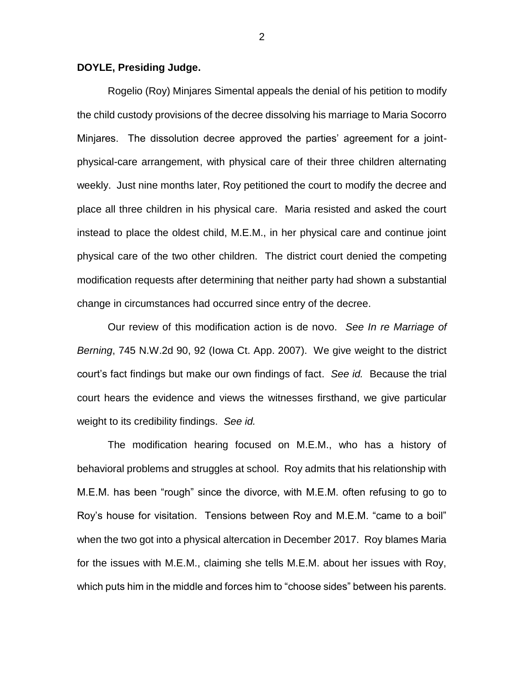## **DOYLE, Presiding Judge.**

Rogelio (Roy) Minjares Simental appeals the denial of his petition to modify the child custody provisions of the decree dissolving his marriage to Maria Socorro Minjares. The dissolution decree approved the parties' agreement for a jointphysical-care arrangement, with physical care of their three children alternating weekly. Just nine months later, Roy petitioned the court to modify the decree and place all three children in his physical care. Maria resisted and asked the court instead to place the oldest child, M.E.M., in her physical care and continue joint physical care of the two other children. The district court denied the competing modification requests after determining that neither party had shown a substantial change in circumstances had occurred since entry of the decree.

Our review of this modification action is de novo. *See In re Marriage of Berning*, 745 N.W.2d 90, 92 (Iowa Ct. App. 2007). We give weight to the district court's fact findings but make our own findings of fact. *See id.* Because the trial court hears the evidence and views the witnesses firsthand, we give particular weight to its credibility findings. *See id.*

The modification hearing focused on M.E.M., who has a history of behavioral problems and struggles at school. Roy admits that his relationship with M.E.M. has been "rough" since the divorce, with M.E.M. often refusing to go to Roy's house for visitation. Tensions between Roy and M.E.M. "came to a boil" when the two got into a physical altercation in December 2017. Roy blames Maria for the issues with M.E.M., claiming she tells M.E.M. about her issues with Roy, which puts him in the middle and forces him to "choose sides" between his parents.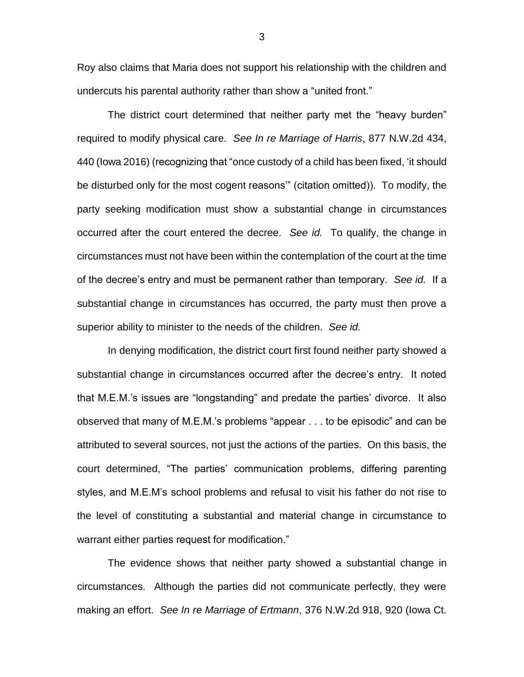Roy also claims that Maria does not support his relationship with the children and undercuts his parental authority rather than show a "united front."

The district court determined that neither party met the "heavy burden" required to modify physical care. *See In re Marriage of Harris*, 877 N.W.2d 434, 440 (Iowa 2016) (recognizing that "once custody of a child has been fixed, 'it should be disturbed only for the most cogent reasons'" (citation omitted)). To modify, the party seeking modification must show a substantial change in circumstances occurred after the court entered the decree. *See id.* To qualify, the change in circumstances must not have been within the contemplation of the court at the time of the decree's entry and must be permanent rather than temporary. *See id.* If a substantial change in circumstances has occurred, the party must then prove a superior ability to minister to the needs of the children. *See id.*

In denying modification, the district court first found neither party showed a substantial change in circumstances occurred after the decree's entry. It noted that M.E.M.'s issues are "longstanding" and predate the parties' divorce. It also observed that many of M.E.M.'s problems "appear . . . to be episodic" and can be attributed to several sources, not just the actions of the parties. On this basis, the court determined, "The parties' communication problems, differing parenting styles, and M.E.M's school problems and refusal to visit his father do not rise to the level of constituting a substantial and material change in circumstance to warrant either parties request for modification."

The evidence shows that neither party showed a substantial change in circumstances. Although the parties did not communicate perfectly, they were making an effort. *See In re Marriage of Ertmann*, 376 N.W.2d 918, 920 (Iowa Ct.

3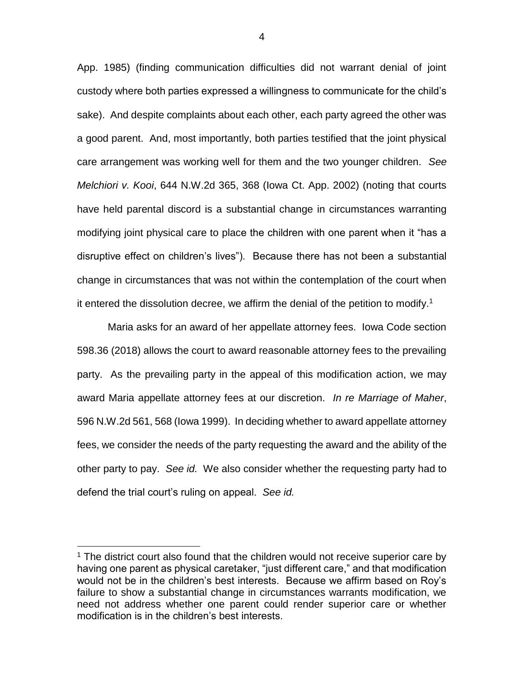App. 1985) (finding communication difficulties did not warrant denial of joint custody where both parties expressed a willingness to communicate for the child's sake). And despite complaints about each other, each party agreed the other was a good parent. And, most importantly, both parties testified that the joint physical care arrangement was working well for them and the two younger children. *See Melchiori v. Kooi*, 644 N.W.2d 365, 368 (Iowa Ct. App. 2002) (noting that courts have held parental discord is a substantial change in circumstances warranting modifying joint physical care to place the children with one parent when it "has a disruptive effect on children's lives"). Because there has not been a substantial change in circumstances that was not within the contemplation of the court when it entered the dissolution decree, we affirm the denial of the petition to modify.<sup>1</sup>

Maria asks for an award of her appellate attorney fees. Iowa Code section 598.36 (2018) allows the court to award reasonable attorney fees to the prevailing party. As the prevailing party in the appeal of this modification action, we may award Maria appellate attorney fees at our discretion. *In re Marriage of Maher*, 596 N.W.2d 561, 568 (Iowa 1999). In deciding whether to award appellate attorney fees, we consider the needs of the party requesting the award and the ability of the other party to pay. *See id.* We also consider whether the requesting party had to defend the trial court's ruling on appeal. *See id.*

 $\overline{a}$ 

<sup>&</sup>lt;sup>1</sup> The district court also found that the children would not receive superior care by having one parent as physical caretaker, "just different care," and that modification would not be in the children's best interests. Because we affirm based on Roy's failure to show a substantial change in circumstances warrants modification, we need not address whether one parent could render superior care or whether modification is in the children's best interests.